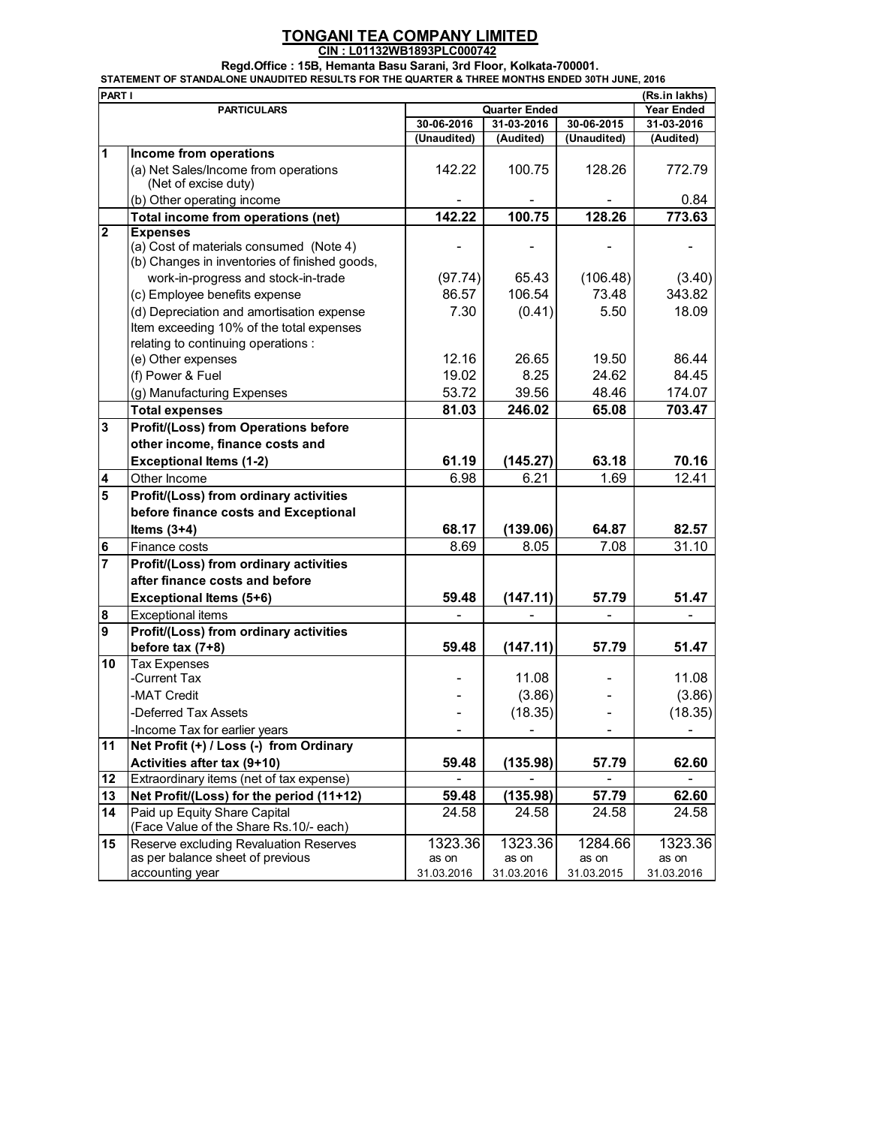## **TONGANI TEA COMPANY LIMITED CIN : L01132WB1893PLC000742**

## **Regd.Office : 15B, Hemanta Basu Sarani, 3rd Floor, Kolkata-700001.**

**STATEMENT OF STANDALONE UNAUDITED RESULTS FOR THE QUARTER & THREE MONTHS ENDED 30TH JUNE, 2016**

| PART I         |                                                                                      |                      |            |             | (Rs.in lakhs)     |
|----------------|--------------------------------------------------------------------------------------|----------------------|------------|-------------|-------------------|
|                | <b>PARTICULARS</b>                                                                   | <b>Quarter Ended</b> |            |             | <b>Year Ended</b> |
|                |                                                                                      | 30-06-2016           | 31-03-2016 | 30-06-2015  | 31-03-2016        |
|                |                                                                                      | (Unaudited)          | (Audited)  | (Unaudited) | (Audited)         |
| 1              | Income from operations                                                               |                      |            |             |                   |
|                | (a) Net Sales/Income from operations                                                 | 142.22               | 100.75     | 128.26      | 772.79            |
|                | (Net of excise duty)                                                                 |                      |            |             | 0.84              |
|                | (b) Other operating income<br>Total income from operations (net)                     | 142.22               | 100.75     | 128.26      | 773.63            |
| $\mathbf{2}$   | <b>Expenses</b>                                                                      |                      |            |             |                   |
|                | (a) Cost of materials consumed (Note 4)                                              |                      |            |             |                   |
|                | (b) Changes in inventories of finished goods,<br>work-in-progress and stock-in-trade | (97.74)              | 65.43      | (106.48)    | (3.40)            |
|                |                                                                                      | 86.57                | 106.54     | 73.48       | 343.82            |
|                | (c) Employee benefits expense                                                        |                      |            |             |                   |
|                | (d) Depreciation and amortisation expense                                            | 7.30                 | (0.41)     | 5.50        | 18.09             |
|                | Item exceeding 10% of the total expenses<br>relating to continuing operations :      |                      |            |             |                   |
|                | (e) Other expenses                                                                   | 12.16                | 26.65      | 19.50       | 86.44             |
|                | (f) Power & Fuel                                                                     | 19.02                | 8.25       | 24.62       | 84.45             |
|                | (g) Manufacturing Expenses                                                           | 53.72                | 39.56      | 48.46       | 174.07            |
|                | <b>Total expenses</b>                                                                | 81.03                | 246.02     | 65.08       | 703.47            |
| 3              |                                                                                      |                      |            |             |                   |
|                | <b>Profit/(Loss) from Operations before</b>                                          |                      |            |             |                   |
|                | other income, finance costs and                                                      |                      |            |             |                   |
|                | <b>Exceptional Items (1-2)</b>                                                       | 61.19                | (145.27)   | 63.18       | 70.16             |
| 4              | Other Income                                                                         | 6.98                 | 6.21       | 1.69        | 12.41             |
| 5              | Profit/(Loss) from ordinary activities                                               |                      |            |             |                   |
|                | before finance costs and Exceptional                                                 |                      |            |             |                   |
|                | Items $(3+4)$                                                                        | 68.17                | (139.06)   | 64.87       | 82.57             |
| 6              | Finance costs                                                                        | 8.69                 | 8.05       | 7.08        | 31.10             |
| $\overline{7}$ | Profit/(Loss) from ordinary activities                                               |                      |            |             |                   |
|                | after finance costs and before                                                       |                      |            |             |                   |
|                | <b>Exceptional Items (5+6)</b>                                                       | 59.48                | (147.11)   | 57.79       | 51.47             |
| 8              | <b>Exceptional items</b>                                                             |                      |            |             |                   |
| 9              | Profit/(Loss) from ordinary activities                                               |                      |            |             |                   |
|                | before tax $(7+8)$                                                                   | 59.48                | (147.11)   | 57.79       | 51.47             |
| 10             | <b>Tax Expenses</b>                                                                  |                      |            |             |                   |
|                | -Current Tax                                                                         |                      | 11.08      |             | 11.08             |
|                | -MAT Credit                                                                          |                      | (3.86)     |             | (3.86)            |
|                | -Deferred Tax Assets                                                                 |                      | (18.35)    |             | (18.35)           |
|                | -Income Tax for earlier years                                                        |                      |            |             |                   |
| 11             | Net Profit (+) / Loss (-) from Ordinary                                              |                      |            |             |                   |
|                | Activities after tax (9+10)                                                          | 59.48                | (135.98)   | 57.79       | 62.60             |
| 12             | Extraordinary items (net of tax expense)                                             |                      |            |             |                   |
| 13             | Net Profit/(Loss) for the period (11+12)                                             | 59.48                | (135.98)   | 57.79       | 62.60             |
| 14             | Paid up Equity Share Capital<br>(Face Value of the Share Rs.10/- each)               | 24.58                | 24.58      | 24.58       | 24.58             |
| 15             | Reserve excluding Revaluation Reserves                                               | 1323.36              | 1323.36    | 1284.66     | 1323.36           |
|                | as per balance sheet of previous                                                     | as on                | as on      | as on       | as on             |
|                | accounting year                                                                      | 31.03.2016           | 31.03.2016 | 31.03.2015  | 31.03.2016        |